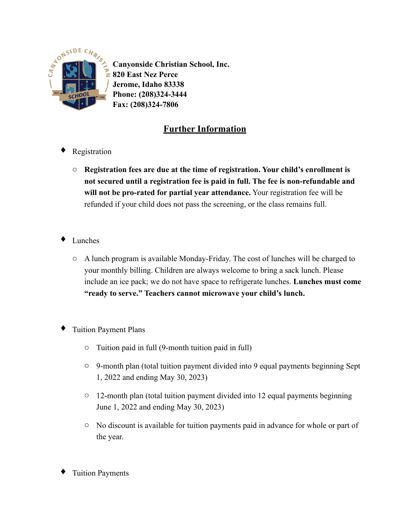

**Canyonside Christian School, Inc. 820 East Nez Perce Jerome, Idaho 83338 Phone: (208)324-3444 Fax: (208)324-7806**

## **Further Information**

- Registration
	- o **Registration fees are due at the time of registration. Your child's enrollment is not secured until a registration fee is paid in full. The fee is non-refundable and will not be pro-rated for partial year attendance.** Your registration fee will be refunded if your child does not pass the screening, or the class remains full.
- Lunches
	- o A lunch program is available Monday-Friday. The cost of lunches will be charged to your monthly billing. Children are always welcome to bring a sack lunch. Please include an ice pack; we do not have space to refrigerate lunches. **Lunches must come "ready to serve." Teachers cannot microwave your child's lunch.**
- **Tuition Payment Plans** 
	- o Tuition paid in full (9-month tuition paid in full)
	- o 9-month plan (total tuition payment divided into 9 equal payments beginning Sept 1, 2022 and ending May 30, 2023)
	- o 12-month plan (total tuition payment divided into 12 equal payments beginning June 1, 2022 and ending May 30, 2023)
	- o No discount is available for tuition payments paid in advance for whole or part of the year.
- **Tuition Payments**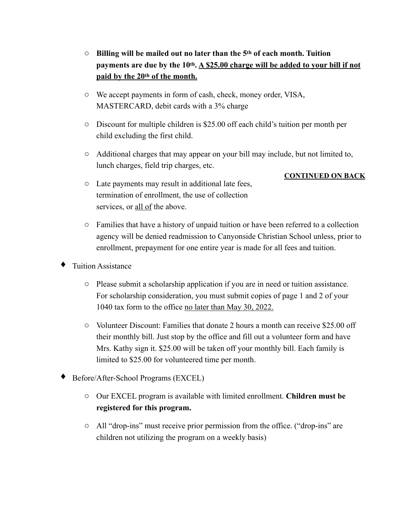- o **Billing will be mailed out no later than the 5th of each month. Tuition payments are due by the 10th. A \$25.00 charge will be added to your bill if not paid by the 20th of the month.**
- o We accept payments in form of cash, check, money order, VISA, MASTERCARD, debit cards with a 3% charge
- o Discount for multiple children is \$25.00 off each child's tuition per month per child excluding the first child.
- o Additional charges that may appear on your bill may include, but not limited to, lunch charges, field trip charges, etc.

## **CONTINUED ON BACK**

- o Late payments may result in additional late fees, termination of enrollment, the use of collection services, or all of the above.
- o Families that have a history of unpaid tuition or have been referred to a collection agency will be denied readmission to Canyonside Christian School unless, prior to enrollment, prepayment for one entire year is made for all fees and tuition.
- **Tuition Assistance** 
	- o Please submit a scholarship application if you are in need or tuition assistance. For scholarship consideration, you must submit copies of page 1 and 2 of your 1040 tax form to the office no later than May 30, 2022.
	- $\circ$  Volunteer Discount: Families that donate 2 hours a month can receive \$25.00 off their monthly bill. Just stop by the office and fill out a volunteer form and have Mrs. Kathy sign it. \$25.00 will be taken off your monthly bill. Each family is limited to \$25.00 for volunteered time per month.
- ♦ Before/After-School Programs (EXCEL)
	- o Our EXCEL program is available with limited enrollment. **Children must be registered for this program.**
	- o All "drop-ins" must receive prior permission from the office. ("drop-ins" are children not utilizing the program on a weekly basis)